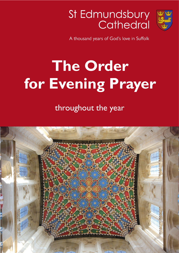



A thousand years of God's love in Suffolk

# **The Order for Evening Prayer**

throughout the year

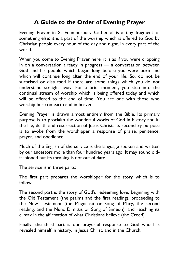# **A Guide to the Order of Evening Prayer**

Evening Prayer in St Edmundsbury Cathedral is a tiny fragment of something else; it is a part of the worship which is offered to God by Christian people every hour of the day and night, in every part of the world.

When you come to Evening Prayer here, it is as if you were dropping in on a conversation already in progress — a conversation between God and his people which began long before you were born and which will continue long after the end of your life. So, do not be surprised or disturbed if there are some things which you do not understand straight away. For a brief moment, you step into the continual stream of worship which is being offered today and which will be offered to the end of time. You are one with those who worship here on earth and in heaven.

Evening Prayer is drawn almost entirely from the Bible. Its primary purpose is to proclaim the wonderful works of God in history and in the life, death and resurrection of Jesus Christ. Its secondary purpose is to evoke from the worshipper a response of praise, penitence, prayer, and obedience.

Much of the English of the service is the language spoken and written by our ancestors more than four hundred years ago. It may sound oldfashioned but its meaning is not out of date.

The service is in three parts:

The first part prepares the worshipper for the story which is to follow.

The second part is the story of God's redeeming love, beginning with the Old Testament (the psalms and the first reading), proceeding to the New Testament (the Magnificat or Song of Mary, the second reading, and the Nunc Dimittis or Song of Simeon), and reaching its climax in the affirmation of what Christians believe (the Creed).

Finally, the third part is our prayerful response to God who has revealed himself in history, in Jesus Christ, and in the Church.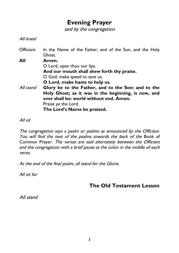# **Evening Prayer**

said by the congregation

All kneel

Officiant In the Name of the Father, and of the Son, and the Holy Ghost. **All Amen.** O Lord, open thou our lips. **And our mouth shall shew forth thy praise.** O God, make speed to save us. **O Lord, make haste to help us.** All stand **Glory be to the Father, and to the Son: and to the Holy Ghost; as it was in the beginning, is now, and ever shall be: world without end. Amen.** Praise ye the Lord. **The Lord's Name be praised.**

All sit

The congregation says a psalm or psalms as announced by the Officiant. You will find the text of the psalms towards the back of the Book of Common Prayer. The verses are said alternately between the Officiant and the congregation with a brief pause at the colon in the middle of each verse.

At the end of the final psalm, all stand for the Gloria

All sit for

**The Old Testament Lesson**

All stand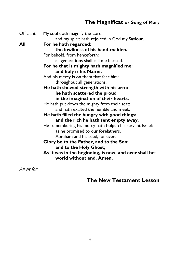# **The Magnificat or Song of Mary**

Officiant My soul doth magnify the Lord: and my spirit hath rejoiced in God my Saviour. **All For he hath regarded: the lowliness of his hand-maiden.** For behold, from henceforth: all generations shall call me blessed. **For he that is mighty hath magnified me: and holy is his Name.** And his mercy is on them that fear him: throughout all generations. **He hath shewed strength with his arm: he hath scattered the proud in the imagination of their hearts.** He hath put down the mighty from their seat: and hath exalted the humble and meek. **He hath filled the hungry with good things: and the rich he hath sent empty away.** He remembering his mercy hath holpen his servant Israel: as he promised to our forefathers, Abraham and his seed, for ever. **Glory be to the Father, and to the Son: and to the Holy Ghost; As it was in the beginning, is now, and ever shall be: world without end. Amen.**

All sit for

# **The New Testament Lesson**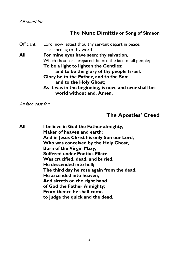All stand for

#### **The Nunc Dimittis or Song of Simeon**

Officiant Lord, now lettest thou thy servant depart in peace: according to thy word. **All For mine eyes have seen: thy salvation,** Which thou hast prepared: before the face of all people; **To be a light to lighten the Gentiles: and to be the glory of thy people Israel. Glory be to the Father, and to the Son: and to the Holy Ghost; As it was in the beginning, is now, and ever shall be: world without end. Amen.**

All face east for

# **The Apostles' Creed**

**All I believe in God the Father almighty, Maker of heaven and earth: And in Jesus Christ his only Son our Lord, Who was conceived by the Holy Ghost, Born of the Virgin Mary, Suffered under Pontius Pilate, Was crucified, dead, and buried, He descended into hell; The third day he rose again from the dead, He ascended into heaven, And sitteth on the right hand of God the Father Almighty; From thence he shall come to judge the quick and the dead.**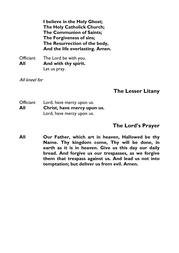**I believe in the Holy Ghost; The Holy Catholick Church; The Communion of Saints; The Forgiveness of sins; The Resurrection of the body, And the life everlasting. Amen.**

Officiant The Lord be with you. **All And with thy spirit.** Let us pray.

All kneel for

#### **The Lesser Litany**

Officiant Lord, have mercy upon us. **All Christ, have mercy upon us.** Lord, have mercy upon us.

#### **The Lord's Prayer**

**All Our Father, which art in heaven, Hallowed be thy Name. Thy kingdom come, Thy will be done, in earth as it is in heaven. Give us this day our daily bread. And forgive us our trespasses, as we forgive them that trespass against us. And lead us not into temptation; but deliver us from evil. Amen.**